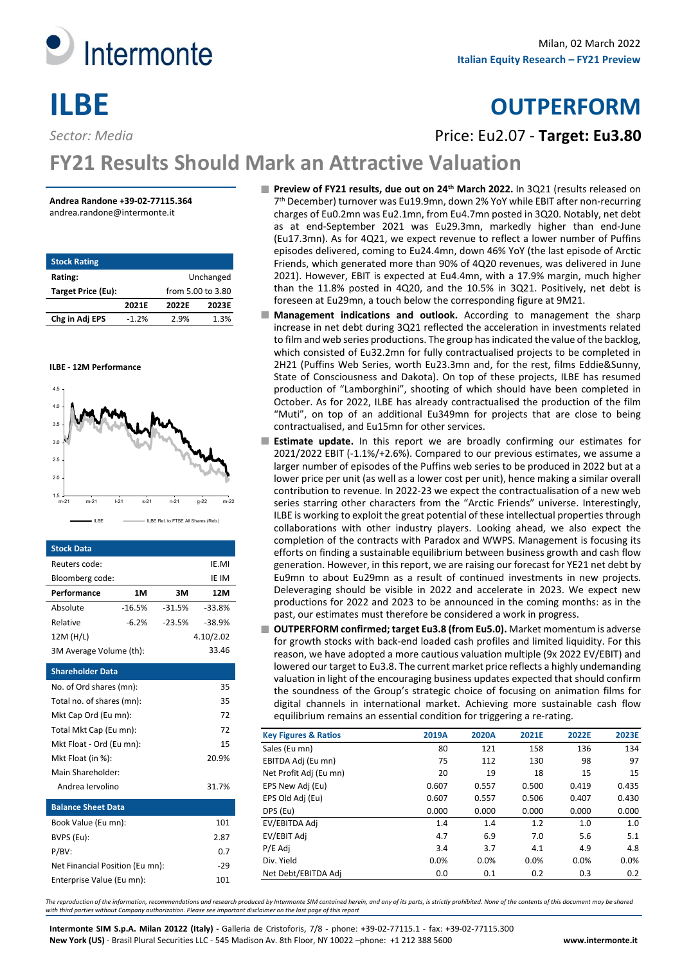

# **ILBE OUTPERFORM**

*Sector: Media* Price: Eu2.07 - **Target: Eu3.80**

# **FY21 Results Should Mark an Attractive Valuation**

#### **Andrea Randone +39-02-77115.364** andrea.randone@intermonte.it

| <b>Stock Rating</b> |                   |       |       |  |  |  |  |
|---------------------|-------------------|-------|-------|--|--|--|--|
| Rating:             | Unchanged         |       |       |  |  |  |  |
| Target Price (Eu):  | from 5.00 to 3.80 |       |       |  |  |  |  |
|                     | 2021F             | 2022F | 2023E |  |  |  |  |
| Chg in Adj EPS      | $-1.2%$           | 2.9%  | 1.3%  |  |  |  |  |





| <b>Stock Data</b>               |           |          |          |  |  |  |  |  |  |
|---------------------------------|-----------|----------|----------|--|--|--|--|--|--|
| Reuters code:                   |           |          | IE.MI    |  |  |  |  |  |  |
| Bloomberg code:                 |           |          | IE IM    |  |  |  |  |  |  |
| Performance                     | 1M        | зм       | 12M      |  |  |  |  |  |  |
| Absolute                        | $-16.5%$  | $-31.5%$ | $-33.8%$ |  |  |  |  |  |  |
| Relative                        | $-6.2%$   | $-23.5%$ | $-38.9%$ |  |  |  |  |  |  |
| 12M (H/L)                       | 4.10/2.02 |          |          |  |  |  |  |  |  |
| 3M Average Volume (th):         |           |          | 33.46    |  |  |  |  |  |  |
| <b>Shareholder Data</b>         |           |          |          |  |  |  |  |  |  |
| 35<br>No. of Ord shares (mn):   |           |          |          |  |  |  |  |  |  |
| 35<br>Total no. of shares (mn): |           |          |          |  |  |  |  |  |  |
| Mkt Cap Ord (Eu mn):            |           |          | 72       |  |  |  |  |  |  |
| Total Mkt Cap (Eu mn):          |           |          | 72       |  |  |  |  |  |  |
| Mkt Float - Ord (Eu mn):        |           |          | 15       |  |  |  |  |  |  |
| Mkt Float (in %):               |           |          | 20.9%    |  |  |  |  |  |  |
| Main Shareholder:               |           |          |          |  |  |  |  |  |  |
| Andrea Jervolino                |           |          | 31.7%    |  |  |  |  |  |  |
| <b>Balance Sheet Data</b>       |           |          |          |  |  |  |  |  |  |
| Book Value (Eu mn):             |           |          | 101      |  |  |  |  |  |  |
| BVPS (Eu):                      |           |          | 2.87     |  |  |  |  |  |  |
| $P/BV$ :                        |           |          | 0.7      |  |  |  |  |  |  |
| Net Financial Position (Eu mn): |           |          | $-29$    |  |  |  |  |  |  |
| Enterprise Value (Eu mn):       |           |          | 101      |  |  |  |  |  |  |

- **Preview of FY21 results, due out on 24th March 2022.** In 3Q21 (results released on 7th December) turnover was Eu19.9mn, down 2% YoY while EBIT after non-recurring charges of Eu0.2mn was Eu2.1mn, from Eu4.7mn posted in 3Q20. Notably, net debt as at end-September 2021 was Eu29.3mn, markedly higher than end-June (Eu17.3mn). As for 4Q21, we expect revenue to reflect a lower number of Puffins episodes delivered, coming to Eu24.4mn, down 46% YoY (the last episode of Arctic Friends, which generated more than 90% of 4Q20 revenues, was delivered in June 2021). However, EBIT is expected at Eu4.4mn, with a 17.9% margin, much higher than the 11.8% posted in 4Q20, and the 10.5% in 3Q21. Positively, net debt is foreseen at Eu29mn, a touch below the corresponding figure at 9M21.
- **Management indications and outlook.** According to management the sharp increase in net debt during 3Q21 reflected the acceleration in investments related to film and web series productions. The group has indicated the value of the backlog, which consisted of Eu32.2mn for fully contractualised projects to be completed in 2H21 (Puffins Web Series, worth Eu23.3mn and, for the rest, films Eddie&Sunny, State of Consciousness and Dakota). On top of these projects, ILBE has resumed production of "Lamborghini", shooting of which should have been completed in October. As for 2022, ILBE has already contractualised the production of the film "Muti", on top of an additional Eu349mn for projects that are close to being contractualised, and Eu15mn for other services.
- **Estimate update.** In this report we are broadly confirming our estimates for m. 2021/2022 EBIT (-1.1%/+2.6%). Compared to our previous estimates, we assume a larger number of episodes of the Puffins web series to be produced in 2022 but at a lower price per unit (as well as a lower cost per unit), hence making a similar overall contribution to revenue. In 2022-23 we expect the contractualisation of a new web series starring other characters from the "Arctic Friends" universe. Interestingly, ILBE is working to exploit the great potential of these intellectual properties through collaborations with other industry players. Looking ahead, we also expect the completion of the contracts with Paradox and WWPS. Management is focusing its efforts on finding a sustainable equilibrium between business growth and cash flow generation. However, in this report, we are raising our forecast for YE21 net debt by Eu9mn to about Eu29mn as a result of continued investments in new projects. Deleveraging should be visible in 2022 and accelerate in 2023. We expect new productions for 2022 and 2023 to be announced in the coming months: as in the past, our estimates must therefore be considered a work in progress.
- **OUTPERFORM confirmed; target Eu3.8 (from Eu5.0).** Market momentum is adverse for growth stocks with back-end loaded cash profiles and limited liquidity. For this reason, we have adopted a more cautious valuation multiple (9x 2022 EV/EBIT) and lowered our target to Eu3.8. The current market price reflects a highly undemanding valuation in light of the encouraging business updates expected that should confirm the soundness of the Group's strategic choice of focusing on animation films for digital channels in international market. Achieving more sustainable cash flow equilibrium remains an essential condition for triggering a re-rating.

| <b>Key Figures &amp; Ratios</b> | 2019A | 2020A | 2021E | 2022E | 2023E |
|---------------------------------|-------|-------|-------|-------|-------|
| Sales (Eu mn)                   | 80    | 121   | 158   | 136   | 134   |
| EBITDA Adj (Eu mn)              | 75    | 112   | 130   | 98    | 97    |
| Net Profit Adj (Eu mn)          | 20    | 19    | 18    | 15    | 15    |
| EPS New Adj (Eu)                | 0.607 | 0.557 | 0.500 | 0.419 | 0.435 |
| EPS Old Adj (Eu)                | 0.607 | 0.557 | 0.506 | 0.407 | 0.430 |
| DPS (Eu)                        | 0.000 | 0.000 | 0.000 | 0.000 | 0.000 |
| EV/EBITDA Adi                   | 1.4   | 1.4   | 1.2   | 1.0   | 1.0   |
| EV/EBIT Adj                     | 4.7   | 6.9   | 7.0   | 5.6   | 5.1   |
| P/E Adj                         | 3.4   | 3.7   | 4.1   | 4.9   | 4.8   |
| Div. Yield                      | 0.0%  | 0.0%  | 0.0%  | 0.0%  | 0.0%  |
| Net Debt/EBITDA Adi             | 0.0   | 0.1   | 0.2   | 0.3   | 0.2   |

*The reproduction of the information, recommendations and research produced by Intermonte SIM contained herein, and any of its parts, is strictly prohibited. None of the contents of this document may be shared with third parties without Company authorization. Please see important disclaimer on the last page of this report*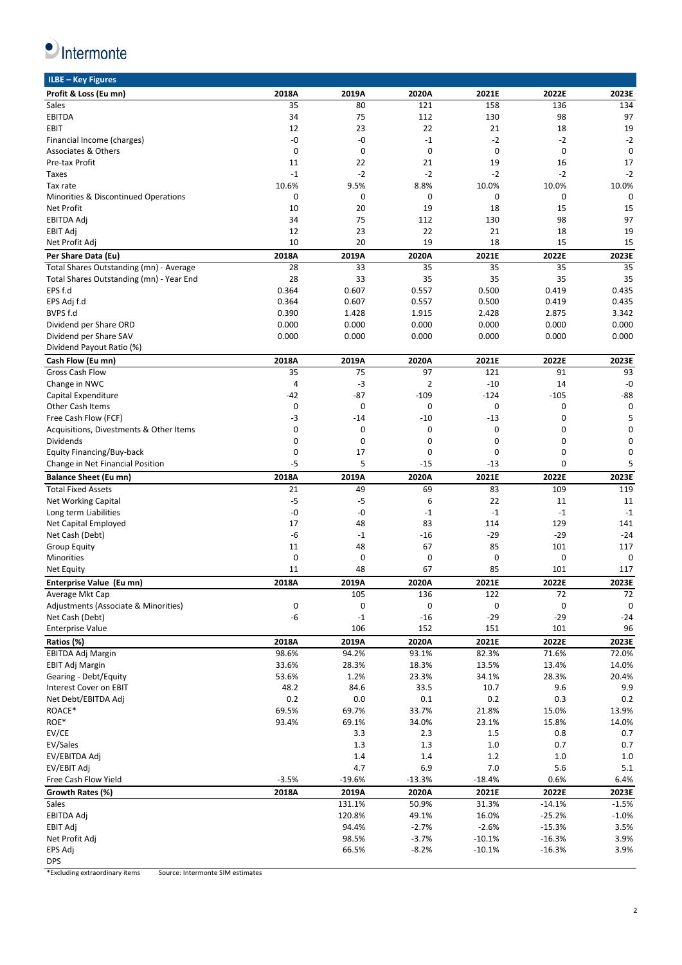

| ILBE - Key Figures                       |             |          |                |           |             |             |
|------------------------------------------|-------------|----------|----------------|-----------|-------------|-------------|
| Profit & Loss (Eu mn)                    | 2018A       | 2019A    | 2020A          | 2021E     | 2022E       | 2023E       |
| Sales                                    | 35          | 80       | 121            | 158       | 136         | 134         |
| <b>EBITDA</b>                            | 34          | 75       | 112            | 130       | 98          | 97          |
| EBIT                                     | 12          | 23       | 22             | 21        | 18          | 19          |
| Financial Income (charges)               | -0          | -0       | $-1$           | $-2$      | $-2$        | $-2$        |
| Associates & Others                      | $\mathbf 0$ | 0        | 0              | 0         | $\mathbf 0$ | $\mathbf 0$ |
|                                          |             |          |                |           |             |             |
| Pre-tax Profit                           | 11          | 22       | 21             | 19        | 16          | 17          |
| Taxes                                    | $-1$        | $-2$     | $-2$           | $-2$      | $-2$        | $-2$        |
| Tax rate                                 | 10.6%       | 9.5%     | 8.8%           | 10.0%     | 10.0%       | 10.0%       |
| Minorities & Discontinued Operations     | $\mathbf 0$ | 0        | 0              | 0         | $\mathbf 0$ | $\mathbf 0$ |
| <b>Net Profit</b>                        | 10          | 20       | 19             | 18        | 15          | 15          |
| <b>EBITDA Adi</b>                        | 34          | 75       | 112            | 130       | 98          | 97          |
| <b>EBIT Adj</b>                          | 12          | 23       | 22             | 21        | 18          | 19          |
| Net Profit Adj                           | 10          | 20       | 19             | 18        | 15          | 15          |
| Per Share Data (Eu)                      | 2018A       | 2019A    | 2020A          | 2021E     | 2022E       | 2023E       |
| Total Shares Outstanding (mn) - Average  | 28          | 33       | 35             | 35        | 35          | 35          |
| Total Shares Outstanding (mn) - Year End | 28          | 33       | 35             | 35        | 35          | 35          |
| EPS f.d                                  | 0.364       | 0.607    | 0.557          | 0.500     | 0.419       | 0.435       |
|                                          | 0.364       |          | 0.557          |           |             | 0.435       |
| EPS Adj f.d                              |             | 0.607    |                | 0.500     | 0.419       |             |
| BVPS f.d                                 | 0.390       | 1.428    | 1.915          | 2.428     | 2.875       | 3.342       |
| Dividend per Share ORD                   | 0.000       | 0.000    | 0.000          | 0.000     | 0.000       | 0.000       |
| Dividend per Share SAV                   | 0.000       | 0.000    | 0.000          | 0.000     | 0.000       | 0.000       |
| Dividend Payout Ratio (%)                |             |          |                |           |             |             |
| Cash Flow (Eu mn)                        | 2018A       | 2019A    | 2020A          | 2021E     | 2022E       | 2023E       |
| <b>Gross Cash Flow</b>                   | 35          | 75       | 97             | 121       | 91          | 93          |
| Change in NWC                            | 4           | $-3$     | $\overline{2}$ | $-10$     | 14          | $-0$        |
| Capital Expenditure                      | -42         | -87      | $-109$         | $-124$    | $-105$      | -88         |
| <b>Other Cash Items</b>                  | 0           | 0        | 0              | 0         | 0           | 0           |
| Free Cash Flow (FCF)                     | -3          | $-14$    | $-10$          | $-13$     | $\mathbf 0$ | 5           |
| Acquisitions, Divestments & Other Items  | $\mathbf 0$ | 0        | 0              | 0         | 0           | 0           |
| Dividends                                | $\mathbf 0$ | 0        | 0              | 0         | 0           | 0           |
| Equity Financing/Buy-back                | 0           | 17       | 0              | 0         | 0           | 0           |
| Change in Net Financial Position         | $-5$        | 5        | $-15$          | -13       | 0           | 5           |
|                                          |             |          |                |           |             |             |
|                                          |             |          |                |           |             |             |
| <b>Balance Sheet (Eu mn)</b>             | 2018A       | 2019A    | 2020A          | 2021E     | 2022E       | 2023E       |
| <b>Total Fixed Assets</b>                | 21          | 49       | 69             | 83        | 109         | 119         |
| <b>Net Working Capital</b>               | $-5$        | $-5$     | 6              | 22        | 11          | 11          |
| Long term Liabilities                    | -0          | -0       | $-1$           | $-1$      | $-1$        | $-1$        |
| Net Capital Employed                     | 17          | 48       | 83             | 114       | 129         | 141         |
| Net Cash (Debt)                          | -6          | $-1$     | $-16$          | $-29$     | $-29$       | $-24$       |
| <b>Group Equity</b>                      | 11          | 48       | 67             | 85        | 101         | 117         |
| Minorities                               | 0           | 0        | 0              | 0         | 0           | 0           |
| Net Equity                               | 11          | 48       | 67             | 85        | 101         | 117         |
|                                          | 2018A       | 2019A    | 2020A          | 2021E     | 2022E       | 2023E       |
| Enterprise Value (Eu mn)                 |             |          |                |           |             |             |
| Average Mkt Cap                          |             | 105      | 136            | 122       | 72          | 72          |
| Adjustments (Associate & Minorities)     | 0           | 0        | 0              | $\pmb{0}$ | 0           | $\pmb{0}$   |
| Net Cash (Debt)                          | -6          | $-1$     | $-16$          | $-29$     | $-29$       | $-24$       |
| <b>Enterprise Value</b>                  |             | 106      | 152            | 151       | 101         | 96          |
| Ratios (%)                               | 2018A       | 2019A    | 2020A          | 2021E     | 2022E       | 2023E       |
| EBITDA Adj Margin                        | 98.6%       | 94.2%    | 93.1%          | 82.3%     | 71.6%       | 72.0%       |
| EBIT Adj Margin                          | 33.6%       | 28.3%    | 18.3%          | 13.5%     | 13.4%       | 14.0%       |
| Gearing - Debt/Equity                    | 53.6%       | 1.2%     | 23.3%          | 34.1%     | 28.3%       | 20.4%       |
| Interest Cover on EBIT                   | 48.2        | 84.6     | 33.5           | 10.7      | 9.6         | 9.9         |
| Net Debt/EBITDA Adj                      | 0.2         | 0.0      | 0.1            | 0.2       | 0.3         | 0.2         |
| ROACE*                                   | 69.5%       | 69.7%    | 33.7%          | 21.8%     | 15.0%       | 13.9%       |
| ROE*                                     | 93.4%       | 69.1%    | 34.0%          | 23.1%     | 15.8%       | 14.0%       |
| EV/CE                                    |             | 3.3      | 2.3            | 1.5       | 0.8         | 0.7         |
|                                          |             |          |                |           |             |             |
| EV/Sales                                 |             | 1.3      | 1.3            | 1.0       | 0.7         | 0.7         |
| EV/EBITDA Adj                            |             | 1.4      | 1.4            | 1.2       | 1.0         | 1.0         |
| EV/EBIT Adj                              |             | 4.7      | 6.9            | 7.0       | 5.6         | 5.1         |
| Free Cash Flow Yield                     | $-3.5%$     | $-19.6%$ | $-13.3%$       | $-18.4%$  | 0.6%        | 6.4%        |
| Growth Rates (%)                         | 2018A       | 2019A    | 2020A          | 2021E     | 2022E       | 2023E       |
| Sales                                    |             | 131.1%   | 50.9%          | 31.3%     | $-14.1%$    | $-1.5%$     |
| <b>EBITDA Adj</b>                        |             | 120.8%   | 49.1%          | 16.0%     | $-25.2%$    | $-1.0%$     |
| EBIT Adj                                 |             | 94.4%    | $-2.7%$        | $-2.6%$   | $-15.3%$    | 3.5%        |
| Net Profit Adj                           |             | 98.5%    | $-3.7%$        | $-10.1%$  | $-16.3%$    | 3.9%        |
| EPS Adj<br><b>DPS</b>                    |             | 66.5%    | $-8.2%$        | $-10.1%$  | $-16.3%$    | 3.9%        |

\*Excluding extraordinary items Source: Intermonte SIM estimates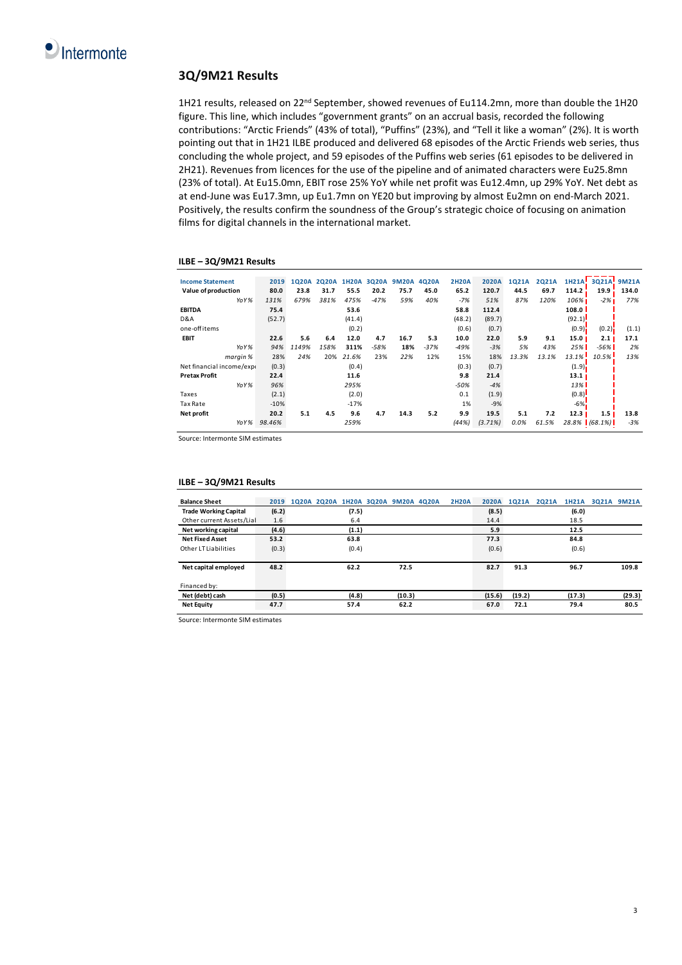## **3Q/9M21 Results**

1H21 results, released on 22<sup>nd</sup> September, showed revenues of Eu114.2mn, more than double the 1H20 figure. This line, which includes "government grants" on an accrual basis, recorded the following contributions: "Arctic Friends" (43% of total), "Puffins" (23%), and "Tell it like a woman" (2%). It is worth pointing out that in 1H21 ILBE produced and delivered 68 episodes of the Arctic Friends web series, thus concluding the whole project, and 59 episodes of the Puffins web series (61 episodes to be delivered in 2H21). Revenues from licences for the use of the pipeline and of animated characters were Eu25.8mn (23% of total). At Eu15.0mn, EBIT rose 25% YoY while net profit was Eu12.4mn, up 29% YoY. Net debt as at end-June was Eu17.3mn, up Eu1.7mn on YE20 but improving by almost Eu2mn on end-March 2021. Positively, the results confirm the soundness of the Group's strategic choice of focusing on animation films for digital channels in the international market.

#### **ILBE – 3Q/9M21 Results**

| <b>Income Statement</b>  | 2019   | 1020A | <b>2020A</b> |        | 1H20A 3Q20A |      | 9M20A 4Q20A | <b>2H20A</b> | <b>2020A</b> | 1021A | 2021A | 1H21A!            | 3Q21A            | <b>9M21A</b> |
|--------------------------|--------|-------|--------------|--------|-------------|------|-------------|--------------|--------------|-------|-------|-------------------|------------------|--------------|
| Value of production      | 80.0   | 23.8  | 31.7         | 55.5   | 20.2        | 75.7 | 45.0        | 65.2         | 120.7        | 44.5  | 69.7  | 114.2             | 19.9             | 134.0        |
| YoY%                     | 131%   | 679%  | 381%         | 475%   | $-47%$      | 59%  | 40%         | $-7%$        | 51%          | 87%   | 120%  | 106%              | $-2%$            | 77%          |
| <b>EBITDA</b>            | 75.4   |       |              | 53.6   |             |      |             | 58.8         | 112.4        |       |       | 108.0             |                  |              |
| D&A                      | (52.7) |       |              | (41.4) |             |      |             | (48.2)       | (89.7)       |       |       | (92.1)            |                  |              |
| one-off items            |        |       |              | (0.2)  |             |      |             | (0.6)        | (0.7)        |       |       | (0.9)             | (0.2)            | (1.1)        |
| <b>EBIT</b>              | 22.6   | 5.6   | 6.4          | 12.0   | 4.7         | 16.7 | 5.3         | 10.0         | 22.0         | 5.9   | 9.1   | 15.0 <sub>1</sub> | 2.1              | 17.1         |
| YoY%                     | 94%    | 1149% | 158%         | 311%   | $-58%$      | 18%  | $-37%$      | $-49%$       | $-3%$        | 5%    | 43%   | 25%               | $-56%$           | 2%           |
| margin %                 | 28%    | 24%   | 20%          | 21.6%  | 23%         | 22%  | 12%         | 15%          | 18%          | 13.3% | 13.1% | 13.1%             | 10.5%            | 13%          |
| Net financial income/exp | (0.3)  |       |              | (0.4)  |             |      |             | (0.3)        | (0.7)        |       |       | (1.9)             |                  |              |
| <b>Pretax Profit</b>     | 22.4   |       |              | 11.6   |             |      |             | 9.8          | 21.4         |       |       | 13.1 <sub>1</sub> |                  |              |
| YoY%                     | 96%    |       |              | 295%   |             |      |             | $-50%$       | $-4%$        |       |       | 13%               |                  |              |
| Taxes                    | (2.1)  |       |              | (2.0)  |             |      |             | 0.1          | (1.9)        |       |       | (0.8)             |                  |              |
| Tax Rate                 | $-10%$ |       |              | $-17%$ |             |      |             | 1%           | $-9%$        |       |       | $-6\%$            |                  |              |
| Net profit               | 20.2   | 5.1   | 4.5          | 9.6    | 4.7         | 14.3 | 5.2         | 9.9          | 19.5         | 5.1   | 7.2   | 12.3              | 1.5 <sub>1</sub> | 13.8         |
| YoY%                     | 98.46% |       |              | 259%   |             |      |             | (44%)        | (3.71%)      | 0.0%  | 61.5% |                   | $28.8\%$ (68.1%) | $-3%$        |

Source: Intermonte SIM estimates

| $LUL - JQJJIVAL}$ מכסה       |       |                                          |       |        |              |              |        |       |        |                   |        |
|------------------------------|-------|------------------------------------------|-------|--------|--------------|--------------|--------|-------|--------|-------------------|--------|
| <b>Balance Sheet</b>         |       | 2019 1020A 2020A 1H20A 3020A 9M20A 4020A |       |        | <b>2H2OA</b> | <b>2020A</b> | 1021A  | 2021A |        | 1H21A 3Q21A 9M21A |        |
| <b>Trade Working Capital</b> | (6.2) |                                          | (7.5) |        |              | (8.5)        |        |       | (6.0)  |                   |        |
| Other current Assets/Lial    | 1.6   |                                          | 6.4   |        |              | 14.4         |        |       | 18.5   |                   |        |
| Net working capital          | (4.6) |                                          | (1.1) |        |              | 5.9          |        |       | 12.5   |                   |        |
| <b>Net Fixed Asset</b>       | 53.2  |                                          | 63.8  |        |              | 77.3         |        |       | 84.8   |                   |        |
| Other LT Liabilities         | (0.3) |                                          | (0.4) |        |              | (0.6)        |        |       | (0.6)  |                   |        |
| Net capital employed         | 48.2  |                                          | 62.2  | 72.5   |              | 82.7         | 91.3   |       | 96.7   |                   | 109.8  |
| Financed by:                 |       |                                          |       |        |              |              |        |       |        |                   |        |
| Net (debt) cash              | (0.5) |                                          | (4.8) | (10.3) |              | (15.6)       | (19.2) |       | (17.3) |                   | (29.3) |
| <b>Net Equity</b>            | 47.7  |                                          | 57.4  | 62.2   |              | 67.0         | 72.1   |       | 79.4   |                   | 80.5   |

**ILBE – 3Q/9M21 Results**

Source: Intermonte SIM estimates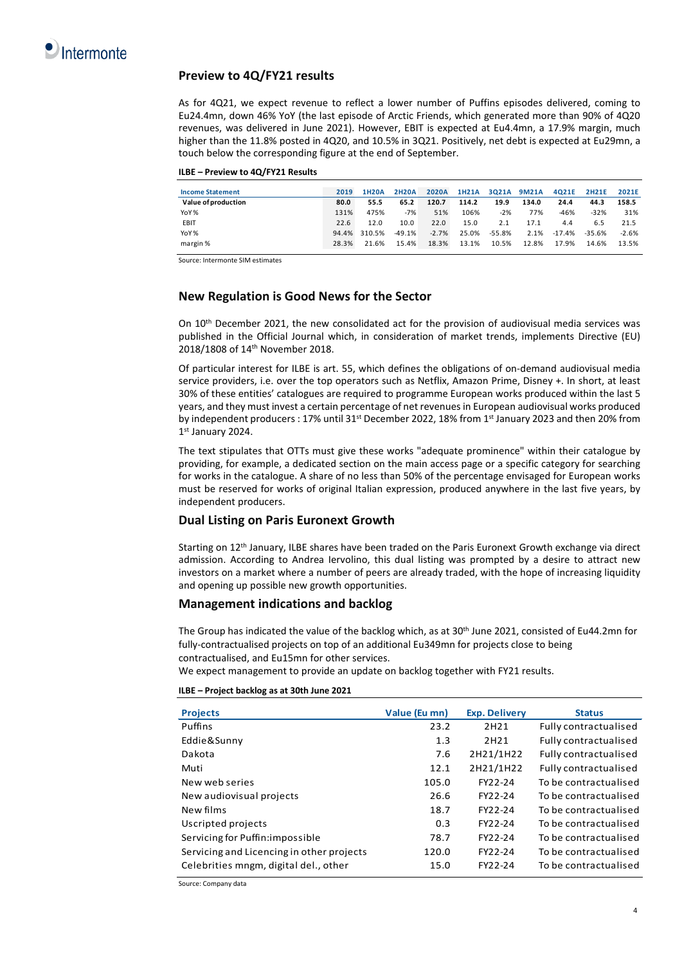

### **Preview to 4Q/FY21 results**

As for 4Q21, we expect revenue to reflect a lower number of Puffins episodes delivered, coming to Eu24.4mn, down 46% YoY (the last episode of Arctic Friends, which generated more than 90% of 4Q20 revenues, was delivered in June 2021). However, EBIT is expected at Eu4.4mn, a 17.9% margin, much higher than the 11.8% posted in 4Q20, and 10.5% in 3Q21. Positively, net debt is expected at Eu29mn, a touch below the corresponding figure at the end of September.

| ILBE - Preview to 4Q/FY21 Results |  |  |
|-----------------------------------|--|--|
|-----------------------------------|--|--|

| <b>Income Statement</b> | 2019  | <b>1H20A</b> | <b>2H20A</b> | <b>2020A</b> | <b>1H21A</b> | 3021A 9M21A |       | 4Q21E    | <b>2H21E</b> | 2021E   |
|-------------------------|-------|--------------|--------------|--------------|--------------|-------------|-------|----------|--------------|---------|
| Value of production     | 80.0  | 55.5         | 65.2         | 120.7        | 114.2        | 19.9        | 134.0 | 24.4     | 44.3         | 158.5   |
| YoY%                    | 131%  | 475%         | $-7%$        | 51%          | 106%         | $-2%$       | 77%   | $-46%$   | $-32%$       | 31%     |
| EBIT                    | 22.6  | 12.0         | 10.0         | 22.0         | 15.0         | 2.1         | 17.1  | 4.4      | 6.5          | 21.5    |
| YoY%                    | 94.4% | 310.5%       | $-49.1%$     | $-2.7%$      | 25.0%        | -55.8%      | 2.1%  | $-17.4%$ | $-35.6%$     | $-2.6%$ |
| margin %                | 28.3% | 21.6%        | 15.4%        | 18.3%        | 13.1%        | 10.5%       | 12.8% | 17.9%    | 14.6%        | 13.5%   |

Source: Intermonte SIM estimates

### **New Regulation is Good News for the Sector**

On 10th December 2021, the new consolidated act for the provision of audiovisual media services was published in the Official Journal which, in consideration of market trends, implements Directive (EU) 2018/1808 of 14th November 2018.

Of particular interest for ILBE is art. 55, which defines the obligations of on-demand audiovisual media service providers, i.e. over the top operators such as Netflix, Amazon Prime, Disney +. In short, at least 30% of these entities' catalogues are required to programme European works produced within the last 5 years, and they must invest a certain percentage of net revenues in European audiovisual works produced by independent producers : 17% until 31<sup>st</sup> December 2022, 18% from 1st January 2023 and then 20% from 1st January 2024.

The text stipulates that OTTs must give these works "adequate prominence" within their catalogue by providing, for example, a dedicated section on the main access page or a specific category for searching for works in the catalogue. A share of no less than 50% of the percentage envisaged for European works must be reserved for works of original Italian expression, produced anywhere in the last five years, by independent producers.

### **Dual Listing on Paris Euronext Growth**

Starting on 12th January, ILBE shares have been traded on the Paris Euronext Growth exchange via direct admission. According to Andrea Iervolino, this dual listing was prompted by a desire to attract new investors on a market where a number of peers are already traded, with the hope of increasing liquidity and opening up possible new growth opportunities.

### **Management indications and backlog**

The Group has indicated the value of the backlog which, as at 30th June 2021, consisted of Eu44.2mn for fully-contractualised projects on top of an additional Eu349mn for projects close to being contractualised, and Eu15mn for other services.

We expect management to provide an update on backlog together with FY21 results.

|  |  |  |  |  | ILBE - Project backlog as at 30th June 2021 |
|--|--|--|--|--|---------------------------------------------|
|--|--|--|--|--|---------------------------------------------|

| <b>Projects</b>                           | Value (Eu mn) | <b>Exp. Delivery</b> | <b>Status</b>         |
|-------------------------------------------|---------------|----------------------|-----------------------|
| Puffins                                   | 23.2          | 2H21                 | Fully contractualised |
| Eddie&Sunny                               | 1.3           | 2H21                 | Fully contractualised |
| Dakota                                    | 7.6           | 2H21/1H22            | Fully contractualised |
| Muti                                      | 12.1          | 2H21/1H22            | Fully contractualised |
| New web series                            | 105.0         | FY22-24              | To be contractualised |
| New audiovisual projects                  | 26.6          | FY22-24              | To be contractualised |
| New films                                 | 18.7          | FY22-24              | To be contractualised |
| Uscripted projects                        | 0.3           | FY22-24              | To be contractualised |
| Servicing for Puffin: impossible          | 78.7          | FY22-24              | To be contractualised |
| Servicing and Licencing in other projects | 120.0         | FY22-24              | To be contractualised |
| Celebrities mngm, digital del., other     | 15.0          | FY22-24              | To be contractualised |

Source: Company data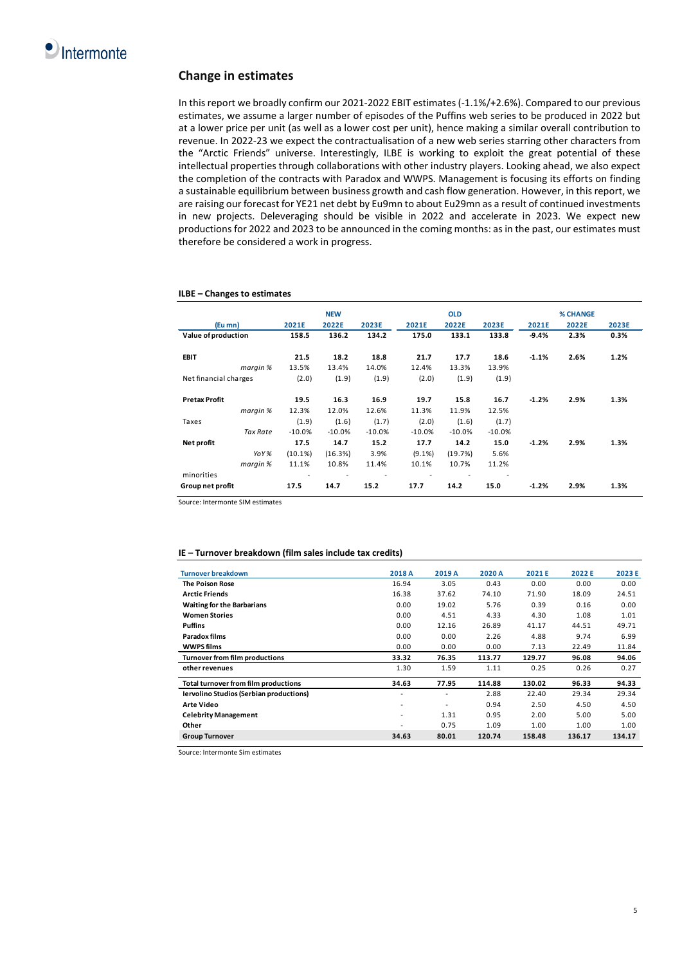### **Change in estimates**

In this report we broadly confirm our 2021-2022 EBIT estimates (-1.1%/+2.6%). Compared to our previous estimates, we assume a larger number of episodes of the Puffins web series to be produced in 2022 but at a lower price per unit (as well as a lower cost per unit), hence making a similar overall contribution to revenue. In 2022-23 we expect the contractualisation of a new web series starring other characters from the "Arctic Friends" universe. Interestingly, ILBE is working to exploit the great potential of these intellectual properties through collaborations with other industry players. Looking ahead, we also expect the completion of the contracts with Paradox and WWPS. Management is focusing its efforts on finding a sustainable equilibrium between business growth and cash flow generation. However, in this report, we are raising our forecast for YE21 net debt by Eu9mn to about Eu29mn as a result of continued investments in new projects. Deleveraging should be visible in 2022 and accelerate in 2023. We expect new productions for 2022 and 2023 to be announced in the coming months: as in the past, our estimates must therefore be considered a work in progress.

#### **ILBE – Changes to estimates**

|                       |          | <b>NEW</b> |          |           | <b>OLD</b> |          |         | <b>% CHANGE</b> |       |
|-----------------------|----------|------------|----------|-----------|------------|----------|---------|-----------------|-------|
| (Eu mn)               | 2021E    | 2022E      | 2023E    | 2021E     | 2022E      | 2023E    | 2021E   | 2022E           | 2023E |
| Value of production   | 158.5    | 136.2      | 134.2    | 175.0     | 133.1      | 133.8    | $-9.4%$ | 2.3%            | 0.3%  |
|                       |          |            |          |           |            |          |         |                 |       |
| <b>EBIT</b>           | 21.5     | 18.2       | 18.8     | 21.7      | 17.7       | 18.6     | $-1.1%$ | 2.6%            | 1.2%  |
| margin %              | 13.5%    | 13.4%      | 14.0%    | 12.4%     | 13.3%      | 13.9%    |         |                 |       |
| Net financial charges | (2.0)    | (1.9)      | (1.9)    | (2.0)     | (1.9)      | (1.9)    |         |                 |       |
|                       |          |            |          |           |            |          |         |                 |       |
| <b>Pretax Profit</b>  | 19.5     | 16.3       | 16.9     | 19.7      | 15.8       | 16.7     | $-1.2%$ | 2.9%            | 1.3%  |
| margin %              | 12.3%    | 12.0%      | 12.6%    | 11.3%     | 11.9%      | 12.5%    |         |                 |       |
| Taxes                 | (1.9)    | (1.6)      | (1.7)    | (2.0)     | (1.6)      | (1.7)    |         |                 |       |
| <b>Tax Rate</b>       | $-10.0%$ | $-10.0%$   | $-10.0%$ | $-10.0%$  | $-10.0%$   | $-10.0%$ |         |                 |       |
| Net profit            | 17.5     | 14.7       | 15.2     | 17.7      | 14.2       | 15.0     | $-1.2%$ | 2.9%            | 1.3%  |
| YoY%                  | (10.1%)  | (16.3%)    | 3.9%     | $(9.1\%)$ | (19.7%)    | 5.6%     |         |                 |       |
| margin %              | 11.1%    | 10.8%      | 11.4%    | 10.1%     | 10.7%      | 11.2%    |         |                 |       |
| minorities            |          |            |          |           |            |          |         |                 |       |
| Group net profit      | 17.5     | 14.7       | 15.2     | 17.7      | 14.2       | 15.0     | $-1.2%$ | 2.9%            | 1.3%  |

Source: Intermonte SIM estimates

#### **IE – Turnover breakdown (film sales include tax credits)**

| <b>Turnover breakdown</b>                      | 2018 A | 2019 A                   | 2020 A | 2021E  | 2022 E | 2023 E |
|------------------------------------------------|--------|--------------------------|--------|--------|--------|--------|
| <b>The Poison Rose</b>                         | 16.94  | 3.05                     | 0.43   | 0.00   | 0.00   | 0.00   |
| <b>Arctic Friends</b>                          | 16.38  | 37.62                    | 74.10  | 71.90  | 18.09  | 24.51  |
| <b>Waiting for the Barbarians</b>              | 0.00   | 19.02                    | 5.76   | 0.39   | 0.16   | 0.00   |
| <b>Women Stories</b>                           | 0.00   | 4.51                     | 4.33   | 4.30   | 1.08   | 1.01   |
| <b>Puffins</b>                                 | 0.00   | 12.16                    | 26.89  | 41.17  | 44.51  | 49.71  |
| Paradox films                                  | 0.00   | 0.00                     | 2.26   | 4.88   | 9.74   | 6.99   |
| <b>WWPS films</b>                              | 0.00   | 0.00                     | 0.00   | 7.13   | 22.49  | 11.84  |
| Turnover from film productions                 | 33.32  | 76.35                    | 113.77 | 129.77 | 96.08  | 94.06  |
| other revenues                                 | 1.30   | 1.59                     | 1.11   | 0.25   | 0.26   | 0.27   |
| Total turnover from film productions           | 34.63  | 77.95                    | 114.88 | 130.02 | 96.33  | 94.33  |
| <b>Iervolino Studios (Serbian productions)</b> | ۰      |                          | 2.88   | 22.40  | 29.34  | 29.34  |
| <b>Arte Video</b>                              | ٠      | $\overline{\phantom{a}}$ | 0.94   | 2.50   | 4.50   | 4.50   |
| <b>Celebrity Management</b>                    | ٠      | 1.31                     | 0.95   | 2.00   | 5.00   | 5.00   |
| Other                                          | ۰      | 0.75                     | 1.09   | 1.00   | 1.00   | 1.00   |
| <b>Group Turnover</b>                          | 34.63  | 80.01                    | 120.74 | 158.48 | 136.17 | 134.17 |

Source: Intermonte Sim estimates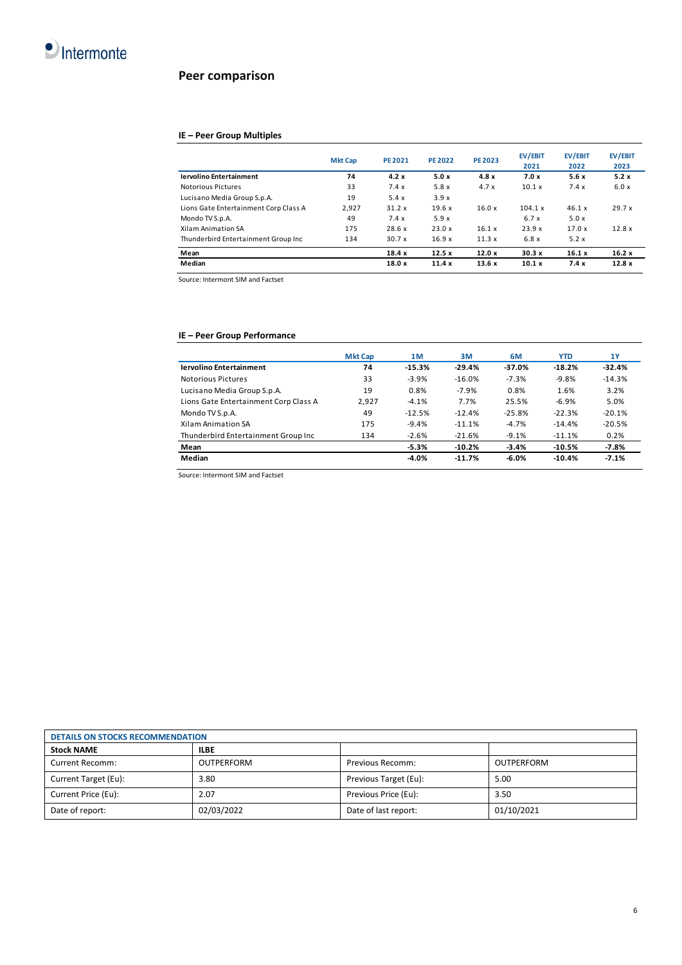

## **Peer comparison**

### **IE – Peer Group Multiples**

|                                       | <b>Mkt Cap</b> | <b>PE 2021</b> | <b>PE 2022</b> | <b>PE 2023</b> | <b>EV/EBIT</b><br>2021 | <b>EV/EBIT</b><br>2022 | EV/EBIT<br>2023 |
|---------------------------------------|----------------|----------------|----------------|----------------|------------------------|------------------------|-----------------|
| <b>Iervolino Entertainment</b>        | 74             | 4.2x           | 5.0x           | 4.8x           | 7.0x                   | 5.6x                   | 5.2x            |
| Notorious Pictures                    | 33             | 7.4x           | 5.8 x          | 4.7x           | 10.1 x                 | 7.4x                   | 6.0x            |
| Lucisano Media Group S.p.A.           | 19             | 5.4x           | 3.9x           |                |                        |                        |                 |
| Lions Gate Entertainment Corp Class A | 2.927          | 31.2x          | 19.6x          | 16.0x          | 104.1 x                | 46.1 x                 | 29.7x           |
| Mondo TV S.p.A.                       | 49             | 7.4x           | 5.9x           |                | 6.7x                   | 5.0x                   |                 |
| Xilam Animation SA                    | 175            | 28.6 x         | 23.0 x         | 16.1 x         | 23.9 x                 | 17.0 x                 | 12.8x           |
| Thunderbird Entertainment Group Inc   | 134            | 30.7x          | 16.9 x         | 11.3x          | 6.8x                   | 5.2x                   |                 |
| Mean                                  |                | 18.4x          | 12.5x          | 12.0x          | 30.3x                  | 16.1x                  | 16.2x           |
| Median                                |                | 18.0x          | 11.4x          | 13.6x          | 10.1 x                 | 7.4x                   | 12.8x           |

Source: Intermont SIM and Factset

### **IE – Peer Group Performance**

|                                       | <b>Mkt Cap</b> | 1M       | 3M       | 6M       | <b>YTD</b> | 1Y       |
|---------------------------------------|----------------|----------|----------|----------|------------|----------|
| <b>Iervolino Entertainment</b>        | 74             | $-15.3%$ | $-29.4%$ | $-37.0%$ | $-18.2%$   | $-32.4%$ |
| Notorious Pictures                    | 33             | $-3.9%$  | $-16.0%$ | $-7.3%$  | $-9.8%$    | $-14.3%$ |
| Lucisano Media Group S.p.A.           | 19             | 0.8%     | $-7.9%$  | 0.8%     | 1.6%       | 3.2%     |
| Lions Gate Entertainment Corp Class A | 2.927          | $-4.1%$  | 7.7%     | 25.5%    | $-6.9%$    | 5.0%     |
| Mondo TV S.p.A.                       | 49             | $-12.5%$ | $-12.4%$ | $-25.8%$ | $-22.3%$   | $-20.1%$ |
| Xilam Animation SA                    | 175            | $-9.4%$  | $-11.1%$ | $-4.7%$  | $-14.4%$   | $-20.5%$ |
| Thunderbird Entertainment Group Inc   | 134            | $-2.6%$  | $-21.6%$ | $-9.1%$  | $-11.1%$   | 0.2%     |
| Mean                                  |                | $-5.3%$  | $-10.2%$ | $-3.4%$  | $-10.5%$   | $-7.8%$  |
| Median                                |                | $-4.0%$  | $-11.7%$ | $-6.0%$  | $-10.4%$   | $-7.1%$  |

Source: Intermont SIM and Factset

| <b>DETAILS ON STOCKS RECOMMENDATION</b> |                   |                       |            |  |
|-----------------------------------------|-------------------|-----------------------|------------|--|
| <b>Stock NAME</b>                       | <b>ILBE</b>       |                       |            |  |
| Current Recomm:                         | <b>OUTPERFORM</b> | Previous Recomm:      | OUTPERFORM |  |
| Current Target (Eu):                    | 3.80              | Previous Target (Eu): | 5.00       |  |
| Current Price (Eu):                     | 2.07              | Previous Price (Eu):  | 3.50       |  |
| Date of report:                         | 02/03/2022        | Date of last report:  | 01/10/2021 |  |